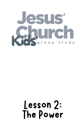

# Lesson 2: The Power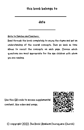date

Note to Families and Teachers:

Read through the book completely to enjoy the rhyme and get an understanding of the overall concepts. Then go back as time allows to revisit the concepts on each page. Choose which questions are most appropriate for the age children with whom you are reading.

Use this QR code to access supplemental content, like video and songs.



© copyright 2022, TheRock(Anaheim Foursquare Church)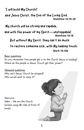## "I will build My Church!"

said Jesus Christ, the Son of the Living God. **Matthew 16:18–20**

Mychurch will bestrongand capable,

and with the power of my Spirit––unstoppable! **Matthew 16:18**

But without My Spirit, theycan't do much

### to restore someone sick, with My healing touch. **Mark 16:18b**

Basic questions:

Do you remember how people get in to the Church Jesus is building? Where do the people in Jesus' Church get their power?

Advanced questions: Why can't Jesus' Church be stopped? Who would want to stop it?

Resource: Video - We are the Church (access using QR code at front of book)

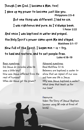Though I am God, I became a Man, too!

I gave up my power to become just like you. **Phiippians 2:5–8**

But onething was different, Ihad no sin.

I was righteous and pure, as I'd always been. **1 Peter 2:22**

And once I was baptized in water and prayed,

the Holy Spirit'spowercameupon Meand stayed. **Matthew 3:1–17**

Now full of the Spirit, I began min - is - try,

to heal and restore, and to set people free. **Luke 4:18–19**

2.

Basic questions: Did Jesus do miracles when He was a little boy? How was Jesus different from the rest of humans? When did Jesus get His power?

Advanced questions: Read Matthew 3:1–16 Believers are baptized in water to show that we repent of our sins and have new life in Jesus. Why was Jesus baptized in water? What does that teach us for our lives?

Resource: Video: The Story of Jesus' Baptism (access using QR code at front of book)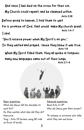And once I had died on the cross for their sin,

My Church could repent, and be cleansed within.

**Acts 2:38**

Before going to heaven, I told them to wait

I said, for a promise of God, that would make Mychurchgreat. **Acts 1:4–7**

"You'll receive power when My Spirit's on you."

So they waited and prayed, 'causetheyknew it was true. **Acts 1:8**

When My Spirit filled them, they all spoke in tongues;

many new languages came out of their lungs.

**Acts 2:1–6**



Basic questions:

What did Jesus tell His disciples to wait for?

As they waited, what else did they do? Resource:

Song - Acts 1:8 (access using QR code at front of book)

Advanced questions: Read Acts 2:1–8\* Why did Jesus give them power?

\*A witness is someone who tells what they see and know.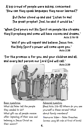A big crowd of people were asking, concerned: "How can they speak languages they never learned?"

But Peter stood upand said "Listento me! The great prophet Joel, he said it would be."

"When God pours out His Spirit on people like streams they'll prophesy and some will have visions and dreams," **Acts 2:16-18**

"and if you will repent and believe Jesus too,

**Acts 2:38** the Holy Spirit'spower willcomeuponyou."

"For the promise is for you, and your children and all, and every last person our Lord God will call."



Basic questions: What did Peter tell the people they needed to do? What gift can all people receive after repenting of their sins and believing in Jesus Christ as their savior?

Advanced question: (Read Acts 2:16–18) Where do you see yourself in these verses? What about family members? Resource: Video - Peter Preaches (access using QR code at front of book)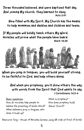Three thousand believed, and were baptized that day, And joining Mychurch, theylearned to obey **Acts 2:41**

Now filled with My Spirit, My Churchhas the means to help mommies and daddies and children and teens.

**Mark 16:20** If My people will boldly teach others My Word, miracles will prove what the people have heard.



When you pray in tongues, you will build yourself strong, to be faithful to God, and help others along.

### And when you prophesy, you'll show others the way, with words from the Spirit that God wants to say. **I Corinthians 14:3–4**

<u>Basic questions:</u> How do miracles help people to believe the preaching of God's Word? When believers pray in tongues, who does it build up?

What is prophecy? How does prophecy build Jesus' Church?

Resource: Song - House of Miracles (access using QR code at front of book)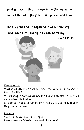So if you want this promise from God up above, to befilled with His Spirit, and power, and love,

# then repent and be baptized in water and say, "

Lord, pour out Your Spirit upon me today."



<u>Basic question:</u>

What do we need to do if we want God to fill us with His Holy Spirit? Read Luke 11:11–13

We are going to pray and ask God to fill us with His Holy Spirit, even if we have been filled before.

Let's expect to be filled with the Holy Spirit and to see the evidence of His power in our lives.

#### Resource:

Video - Empowered by the Holy Spirit (access using the QR code in the front of the book)

6.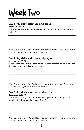# Week Two

#### **Day 1 | My daily scripture and prayer**

Read: Acts 4:5–20 Write: What effect did being filled with the Holy Spirit have on Peter and John?

Pray: Submit yourself to God today as a member of Jesus' Church, and ask Him to use you to minister to people.

#### **Day 2 | My daily scripture and prayer**

Read: Acts 4:23–31 Write: What benefit did these believers receive from being filled with the Spirit again in this prayer meeting?

Pray: Submit yourself to God today as a member of Jesus' Church, and ask Him to use you to minister to people.

#### **Day 3 | My daily scripture and prayer**

Read: Acts 8:26–40 Write: In what ways did the Holy Spirit's power help Philip reach people with the gospel of Jesus Christ?

Pray: Submit yourself to God today as a member of Jesus' Church, and ask Him to use you to minister to people.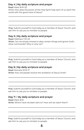#### **Day 4 | My daily scripture and prayer**

#### Read: Mark 16:15–20

Write: How does the power of the Holy Spirit help each of us reach the world with the good news of Jesus?

Pray: Submit yourself to God today as a member of Jesus' Church, and ask Him to use you to minister to people.

#### **Day 5 | My daily scripture and prayer**

Read: Matthew 7:21–23 Write: Can we simply choose to obey certain things and ignore God's other commands? Why or why not?

Pray: Submit yourself to God today as a member of Jesus' Church, and ask Him to use you to minister to people.

#### **Day 6 | My daily scripture and prayer**

Read: Romans 10:13–17 Write: How will people receive the revelation of Jesus Christ?

Pray: Submit yourself to God today as a member of Jesus' Church, and ask Him to use you to minister to people.

#### **Day 7 | My daily scripture and prayer**

Read: Mark 16:15 Write: Whom have we been sent to? How will we reach them?

Pray: Submit yourself to God today as a member of Jesus' Church, and ask Him to use you to minister to people.